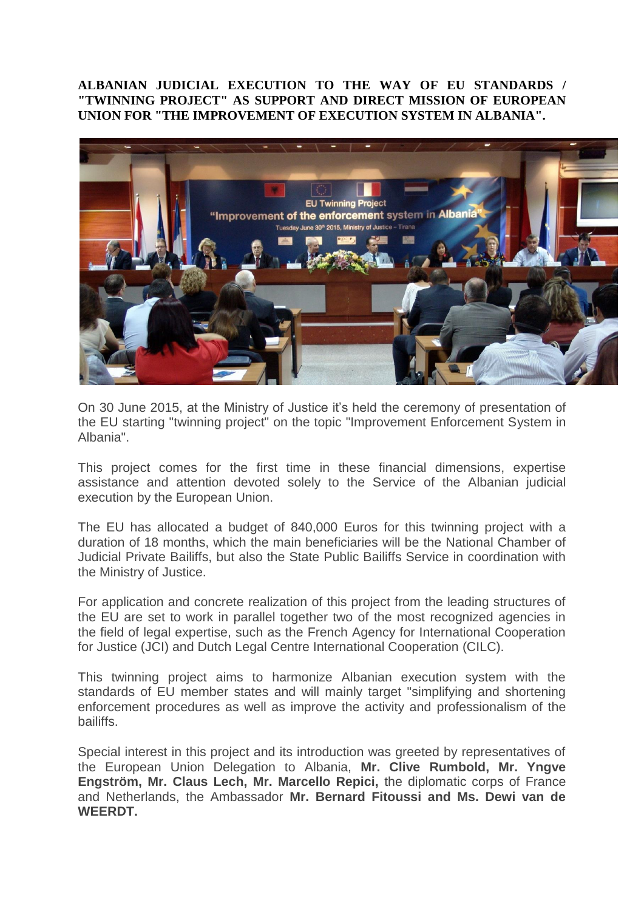## **ALBANIAN JUDICIAL EXECUTION TO THE WAY OF EU STANDARDS / "TWINNING PROJECT" AS SUPPORT AND DIRECT MISSION OF EUROPEAN UNION FOR "THE IMPROVEMENT OF EXECUTION SYSTEM IN ALBANIA".**



On 30 June 2015, at the Ministry of Justice it's held the ceremony of presentation of the EU starting "twinning project" on the topic "Improvement Enforcement System in Albania".

This project comes for the first time in these financial dimensions, expertise assistance and attention devoted solely to the Service of the Albanian judicial execution by the European Union.

The EU has allocated a budget of 840,000 Euros for this twinning project with a duration of 18 months, which the main beneficiaries will be the National Chamber of Judicial Private Bailiffs, but also the State Public Bailiffs Service in coordination with the Ministry of Justice.

For application and concrete realization of this project from the leading structures of the EU are set to work in parallel together two of the most recognized agencies in the field of legal expertise, such as the French Agency for International Cooperation for Justice (JCI) and Dutch Legal Centre International Cooperation (CILC).

This twinning project aims to harmonize Albanian execution system with the standards of EU member states and will mainly target "simplifying and shortening enforcement procedures as well as improve the activity and professionalism of the bailiffs.

Special interest in this project and its introduction was greeted by representatives of the European Union Delegation to Albania, **Mr. Clive Rumbold, Mr. Yngve Engström, Mr. Claus Lech, Mr. Marcello Repici,** the diplomatic corps of France and Netherlands, the Ambassador **Mr. Bernard Fitoussi and Ms. Dewi van de WEERDT.**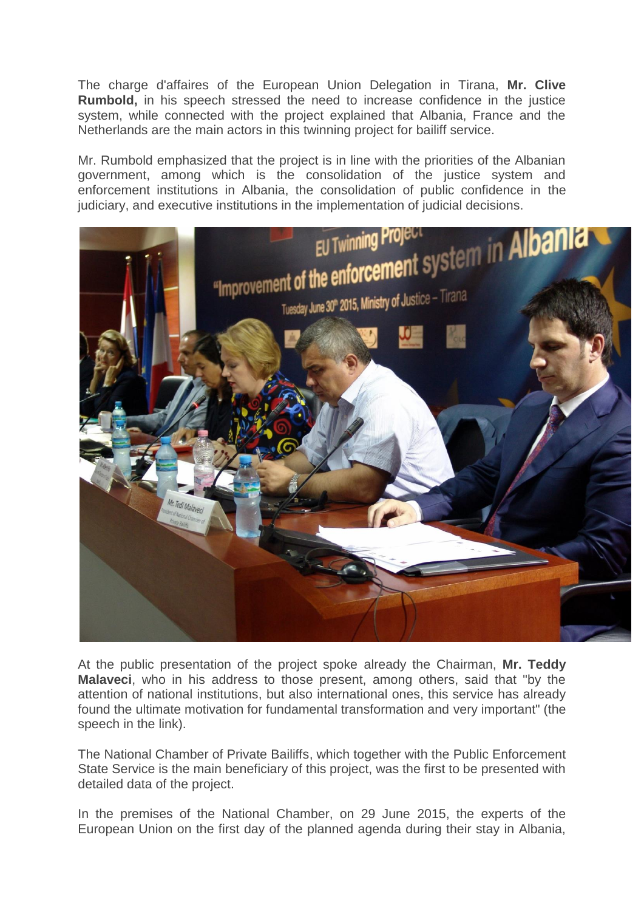The charge d'affaires of the European Union Delegation in Tirana, **Mr. Clive Rumbold,** in his speech stressed the need to increase confidence in the justice system, while connected with the project explained that Albania, France and the Netherlands are the main actors in this twinning project for bailiff service.

Mr. Rumbold emphasized that the project is in line with the priorities of the Albanian government, among which is the consolidation of the justice system and enforcement institutions in Albania, the consolidation of public confidence in the judiciary, and executive institutions in the implementation of judicial decisions.



At the public presentation of the project spoke already the Chairman, **Mr. Teddy Malaveci**, who in his address to those present, among others, said that "by the attention of national institutions, but also international ones, this service has already found the ultimate motivation for fundamental transformation and very important" (the speech in the link).

The National Chamber of Private Bailiffs, which together with the Public Enforcement State Service is the main beneficiary of this project, was the first to be presented with detailed data of the project.

In the premises of the National Chamber, on 29 June 2015, the experts of the European Union on the first day of the planned agenda during their stay in Albania,